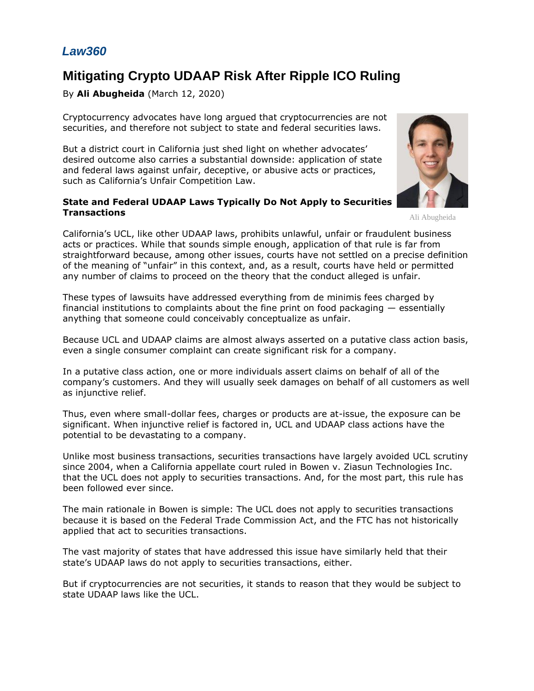## *Law360*

# **Mitigating Crypto UDAAP Risk After Ripple ICO Ruling**

By **Ali Abugheida** (March 12, 2020)

Cryptocurrency advocates have long argued that cryptocurrencies are not securities, and therefore not subject to state and federal securities laws.

But a district court in California just shed light on whether advocates' desired outcome also carries a substantial downside: application of state and federal laws against unfair, deceptive, or abusive acts or practices, such as California's Unfair Competition Law.

#### **State and Federal UDAAP Laws Typically Do Not Apply to Securities Transactions**



Ali Abugheida

California's UCL, like other UDAAP laws, prohibits unlawful, unfair or fraudulent business acts or practices. While that sounds simple enough, application of that rule is far from straightforward because, among other issues, courts have not settled on a precise definition of the meaning of "unfair" in this context, and, as a result, courts have held or permitted any number of claims to proceed on the theory that the conduct alleged is unfair.

These types of lawsuits have addressed everything from de minimis fees charged by financial institutions to complaints about the fine print on food packaging  $-$  essentially anything that someone could conceivably conceptualize as unfair.

Because UCL and UDAAP claims are almost always asserted on a putative class action basis, even a single consumer complaint can create significant risk for a company.

In a putative class action, one or more individuals assert claims on behalf of all of the company's customers. And they will usually seek damages on behalf of all customers as well as injunctive relief.

Thus, even where small-dollar fees, charges or products are at-issue, the exposure can be significant. When injunctive relief is factored in, UCL and UDAAP class actions have the potential to be devastating to a company.

Unlike most business transactions, securities transactions have largely avoided UCL scrutiny since 2004, when a California appellate court ruled in Bowen v. Ziasun Technologies Inc. that the UCL does not apply to securities transactions. And, for the most part, this rule has been followed ever since.

The main rationale in Bowen is simple: The UCL does not apply to securities transactions because it is based on the [Federal Trade Commission Act,](https://www.law360.com/agencies/federal-trade-commission) and the FTC has not historically applied that act to securities transactions.

The vast majority of states that have addressed this issue have similarly held that their state's UDAAP laws do not apply to securities transactions, either.

But if cryptocurrencies are not securities, it stands to reason that they would be subject to state UDAAP laws like the UCL.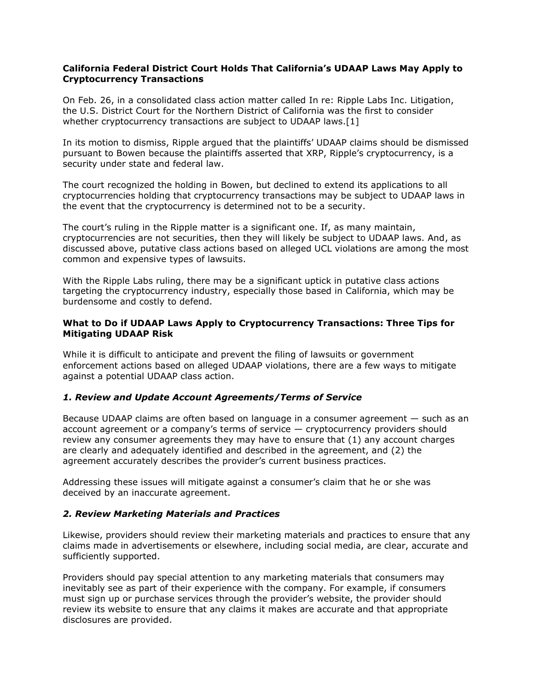#### **California Federal District Court Holds That California's UDAAP Laws May Apply to Cryptocurrency Transactions**

On Feb. 26, in a consolidated class action matter called In re: [Ripple Labs Inc.](https://www.law360.com/companies/ripple-labs-inc) Litigation, the [U.S. District Court for the Northern District of California](https://www.law360.com/agencies/u-s-district-court-for-the-northern-district-of-california) was the first to consider whether cryptocurrency transactions are subject to UDAAP laws.[1]

In its motion to dismiss, Ripple argued that the plaintiffs' UDAAP claims should be dismissed pursuant to Bowen because the plaintiffs asserted that XRP, Ripple's cryptocurrency, is a security under state and federal law.

The court recognized the holding in Bowen, but declined to extend its applications to all cryptocurrencies holding that cryptocurrency transactions may be subject to UDAAP laws in the event that the cryptocurrency is determined not to be a security.

The court's ruling in the Ripple matter is a significant one. If, as many maintain, cryptocurrencies are not securities, then they will likely be subject to UDAAP laws. And, as discussed above, putative class actions based on alleged UCL violations are among the most common and expensive types of lawsuits.

With the Ripple Labs ruling, there may be a significant uptick in putative class actions targeting the cryptocurrency industry, especially those based in California, which may be burdensome and costly to defend.

#### **What to Do if UDAAP Laws Apply to Cryptocurrency Transactions: Three Tips for Mitigating UDAAP Risk**

While it is difficult to anticipate and prevent the filing of lawsuits or government enforcement actions based on alleged UDAAP violations, there are a few ways to mitigate against a potential UDAAP class action.

#### *1. Review and Update Account Agreements/Terms of Service*

Because UDAAP claims are often based on language in a consumer agreement — such as an account agreement or a company's terms of service — cryptocurrency providers should review any consumer agreements they may have to ensure that (1) any account charges are clearly and adequately identified and described in the agreement, and (2) the agreement accurately describes the provider's current business practices.

Addressing these issues will mitigate against a consumer's claim that he or she was deceived by an inaccurate agreement.

#### *2. Review Marketing Materials and Practices*

Likewise, providers should review their marketing materials and practices to ensure that any claims made in advertisements or elsewhere, including social media, are clear, accurate and sufficiently supported.

Providers should pay special attention to any marketing materials that consumers may inevitably see as part of their experience with the company. For example, if consumers must sign up or purchase services through the provider's website, the provider should review its website to ensure that any claims it makes are accurate and that appropriate disclosures are provided.